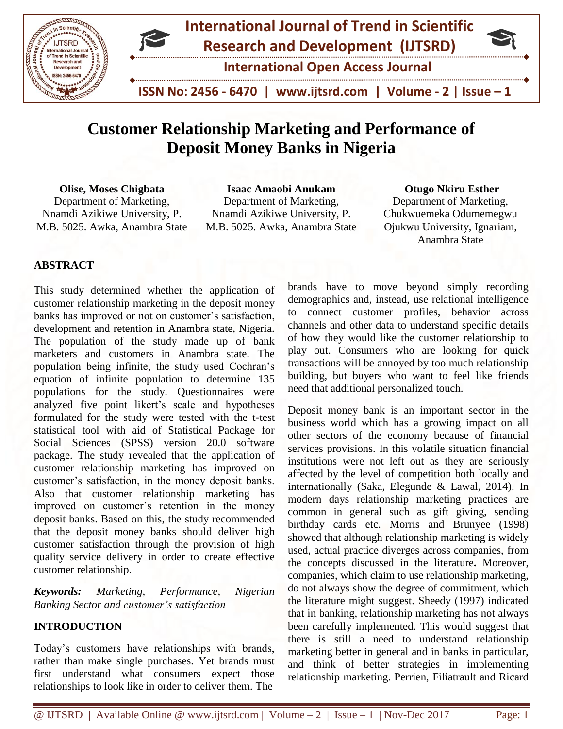

# **Customer Relationship Marketing and Performance of Deposit Money Banks in Nigeria**

**Olise, Moses Chigbata**  Department of Marketing, Nnamdi Azikiwe University, P. M.B. 5025. Awka, Anambra State

**Isaac Amaobi Anukam** Department of Marketing, Nnamdi Azikiwe University, P. M.B. 5025. Awka, Anambra State

#### **Otugo Nkiru Esther**

Department of Marketing, Chukwuemeka Odumemegwu Ojukwu University, Ignariam, Anambra State

## **ABSTRACT**

This study determined whether the application of customer relationship marketing in the deposit money banks has improved or not on customer's satisfaction, development and retention in Anambra state, Nigeria. The population of the study made up of bank marketers and customers in Anambra state. The population being infinite, the study used Cochran's equation of infinite population to determine 135 populations for the study. Questionnaires were analyzed five point likert's scale and hypotheses formulated for the study were tested with the t-test statistical tool with aid of Statistical Package for Social Sciences (SPSS) version 20.0 software package. The study revealed that the application of customer relationship marketing has improved on customer's satisfaction, in the money deposit banks. Also that customer relationship marketing has improved on customer's retention in the money deposit banks. Based on this, the study recommended that the deposit money banks should deliver high customer satisfaction through the provision of high quality service delivery in order to create effective customer relationship.

*Keywords: Marketing, Performance, Nigerian Banking Sector and customer's satisfaction*

## **INTRODUCTION**

Today's customers have relationships with brands, rather than make single purchases. Yet brands must first understand what consumers expect those relationships to look like in order to deliver them. The

brands have to move beyond simply recording demographics and, instead, use relational intelligence to connect customer profiles, behavior across channels and other data to understand specific details of how they would like the customer relationship to play out. Consumers who are looking for quick transactions will be annoyed by too much relationship building, but buyers who want to feel like friends need that additional personalized touch.

Deposit money bank is an important sector in the business world which has a growing impact on all other sectors of the economy because of financial services provisions. In this volatile situation financial institutions were not left out as they are seriously affected by the level of competition both locally and internationally (Saka, Elegunde & Lawal, 2014). In modern days relationship marketing practices are common in general such as gift giving, sending birthday cards etc. Morris and Brunyee (1998) showed that although relationship marketing is widely used, actual practice diverges across companies, from the concepts discussed in the literature**.** Moreover, companies, which claim to use relationship marketing, do not always show the degree of commitment, which the literature might suggest. Sheedy (1997) indicated that in banking, relationship marketing has not always been carefully implemented. This would suggest that there is still a need to understand relationship marketing better in general and in banks in particular, and think of better strategies in implementing relationship marketing. Perrien, Filiatrault and Ricard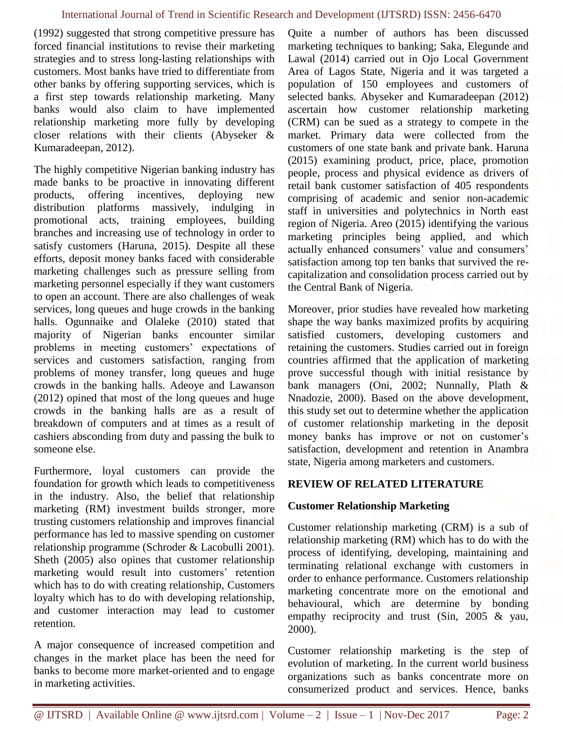(1992) suggested that strong competitive pressure has forced financial institutions to revise their marketing strategies and to stress long-lasting relationships with customers. Most banks have tried to differentiate from other banks by offering supporting services, which is a first step towards relationship marketing. Many banks would also claim to have implemented relationship marketing more fully by developing closer relations with their clients (Abyseker & Kumaradeepan, 2012).

The highly competitive Nigerian banking industry has made banks to be proactive in innovating different products, offering incentives, deploying new distribution platforms massively, indulging in promotional acts, training employees, building branches and increasing use of technology in order to satisfy customers (Haruna, 2015). Despite all these efforts, deposit money banks faced with considerable marketing challenges such as pressure selling from marketing personnel especially if they want customers to open an account. There are also challenges of weak services, long queues and huge crowds in the banking halls. Ogunnaike and Olaleke (2010) stated that majority of Nigerian banks encounter similar problems in meeting customers' expectations of services and customers satisfaction, ranging from problems of money transfer, long queues and huge crowds in the banking halls. Adeoye and Lawanson (2012) opined that most of the long queues and huge crowds in the banking halls are as a result of breakdown of computers and at times as a result of cashiers absconding from duty and passing the bulk to someone else.

Furthermore, loyal customers can provide the foundation for growth which leads to competitiveness in the industry. Also, the belief that relationship marketing (RM) investment builds stronger, more trusting customers relationship and improves financial performance has led to massive spending on customer relationship programme (Schroder & Lacobulli 2001). Sheth (2005) also opines that customer relationship marketing would result into customers' retention which has to do with creating relationship, Customers loyalty which has to do with developing relationship, and customer interaction may lead to customer retention.

A major consequence of increased competition and changes in the market place has been the need for banks to become more market-oriented and to engage in marketing activities.

Quite a number of authors has been discussed marketing techniques to banking; Saka, Elegunde and Lawal (2014) carried out in Ojo Local Government Area of Lagos State, Nigeria and it was targeted a population of 150 employees and customers of selected banks. Abyseker and Kumaradeepan (2012) ascertain how customer relationship marketing (CRM) can be sued as a strategy to compete in the market. Primary data were collected from the customers of one state bank and private bank. Haruna (2015) examining product, price, place, promotion people, process and physical evidence as drivers of retail bank customer satisfaction of 405 respondents comprising of academic and senior non-academic staff in universities and polytechnics in North east region of Nigeria. Areo (2015) identifying the various marketing principles being applied, and which actually enhanced consumers' value and consumers' satisfaction among top ten banks that survived the recapitalization and consolidation process carried out by the Central Bank of Nigeria.

Moreover, prior studies have revealed how marketing shape the way banks maximized profits by acquiring satisfied customers, developing customers and retaining the customers. Studies carried out in foreign countries affirmed that the application of marketing prove successful though with initial resistance by bank managers (Oni, 2002; Nunnally, Plath & Nnadozie, 2000). Based on the above development, this study set out to determine whether the application of customer relationship marketing in the deposit money banks has improve or not on customer's satisfaction, development and retention in Anambra state, Nigeria among marketers and customers.

## **REVIEW OF RELATED LITERATURE**

# **Customer Relationship Marketing**

Customer relationship marketing (CRM) is a sub of relationship marketing (RM) which has to do with the process of identifying, developing, maintaining and terminating relational exchange with customers in order to enhance performance. Customers relationship marketing concentrate more on the emotional and behavioural, which are determine by bonding empathy reciprocity and trust (Sin, 2005 & yau, 2000).

Customer relationship marketing is the step of evolution of marketing. In the current world business organizations such as banks concentrate more on consumerized product and services. Hence, banks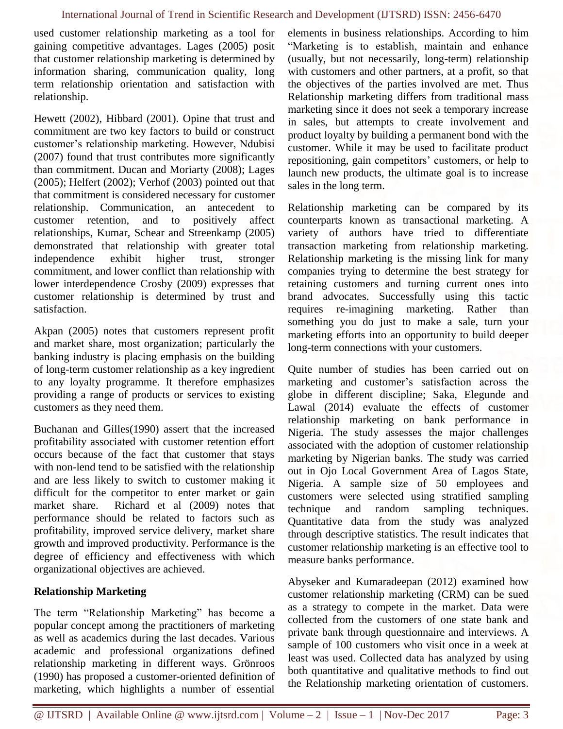used customer relationship marketing as a tool for gaining competitive advantages. Lages (2005) posit that customer relationship marketing is determined by information sharing, communication quality, long term relationship orientation and satisfaction with relationship.

Hewett (2002), Hibbard (2001). Opine that trust and commitment are two key factors to build or construct customer's relationship marketing. However, Ndubisi (2007) found that trust contributes more significantly than commitment. Ducan and Moriarty (2008); Lages (2005); Helfert (2002); Verhof (2003) pointed out that that commitment is considered necessary for customer relationship. Communication, an antecedent to customer retention, and to positively affect relationships, Kumar, Schear and Streenkamp (2005) demonstrated that relationship with greater total independence exhibit higher trust, stronger commitment, and lower conflict than relationship with lower interdependence Crosby (2009) expresses that customer relationship is determined by trust and satisfaction.

Akpan (2005) notes that customers represent profit and market share, most organization; particularly the banking industry is placing emphasis on the building of long-term customer relationship as a key ingredient to any loyalty programme. It therefore emphasizes providing a range of products or services to existing customers as they need them.

Buchanan and Gilles(1990) assert that the increased profitability associated with customer retention effort occurs because of the fact that customer that stays with non-lend tend to be satisfied with the relationship and are less likely to switch to customer making it difficult for the competitor to enter market or gain market share. Richard et al (2009) notes that performance should be related to factors such as profitability, improved service delivery, market share growth and improved productivity. Performance is the degree of efficiency and effectiveness with which organizational objectives are achieved.

# **Relationship Marketing**

The term "Relationship Marketing" has become a popular concept among the practitioners of marketing as well as academics during the last decades. Various academic and professional organizations defined relationship marketing in different ways. Grönroos (1990) has proposed a customer-oriented definition of marketing, which highlights a number of essential elements in business relationships. According to him "Marketing is to establish, maintain and enhance (usually, but not necessarily, long-term) relationship with customers and other partners, at a profit, so that the objectives of the parties involved are met. Thus Relationship marketing differs from traditional mass marketing since it does not seek a temporary increase in sales, but attempts to create involvement and product loyalty by building a permanent bond with the customer. While it may be used to facilitate product repositioning, gain competitors' customers, or help to launch new products, the ultimate goal is to increase sales in the long term.

Relationship marketing can be compared by its counterparts known as transactional marketing. A variety of authors have tried to differentiate transaction marketing from relationship marketing. Relationship marketing is the missing link for many companies trying to determine the best strategy for retaining customers and turning current ones into brand advocates. Successfully using this tactic requires re-imagining marketing. Rather than something you do just to make a sale, turn your marketing efforts into an opportunity to build deeper long-term connections with your customers.

Quite number of studies has been carried out on marketing and customer's satisfaction across the globe in different discipline; Saka, Elegunde and Lawal (2014) evaluate the effects of customer relationship marketing on bank performance in Nigeria. The study assesses the major challenges associated with the adoption of customer relationship marketing by Nigerian banks. The study was carried out in Ojo Local Government Area of Lagos State, Nigeria. A sample size of 50 employees and customers were selected using stratified sampling technique and random sampling techniques. Quantitative data from the study was analyzed through descriptive statistics. The result indicates that customer relationship marketing is an effective tool to measure banks performance.

Abyseker and Kumaradeepan (2012) examined how customer relationship marketing (CRM) can be sued as a strategy to compete in the market. Data were collected from the customers of one state bank and private bank through questionnaire and interviews. A sample of 100 customers who visit once in a week at least was used. Collected data has analyzed by using both quantitative and qualitative methods to find out the Relationship marketing orientation of customers.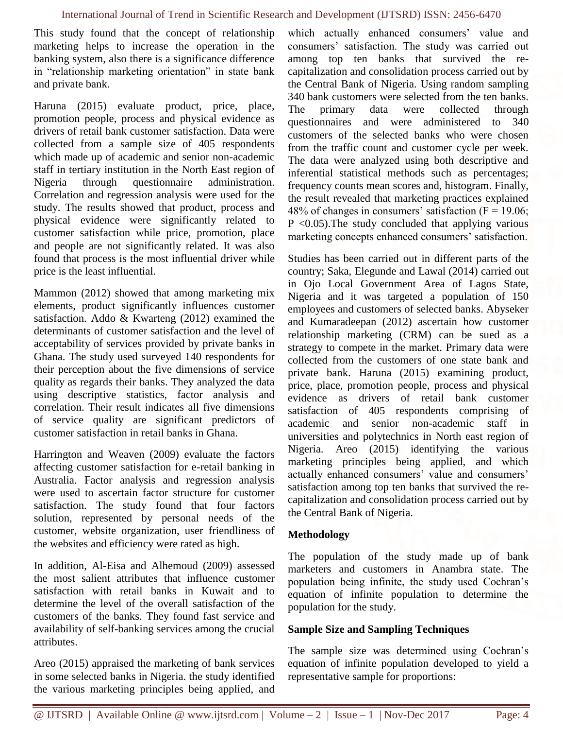This study found that the concept of relationship marketing helps to increase the operation in the banking system, also there is a significance difference in "relationship marketing orientation" in state bank and private bank.

Haruna (2015) evaluate product, price, place, promotion people, process and physical evidence as drivers of retail bank customer satisfaction. Data were collected from a sample size of 405 respondents which made up of academic and senior non-academic staff in tertiary institution in the North East region of Nigeria through questionnaire administration. Correlation and regression analysis were used for the study. The results showed that product, process and physical evidence were significantly related to customer satisfaction while price, promotion, place and people are not significantly related. It was also found that process is the most influential driver while price is the least influential.

Mammon (2012) showed that among marketing mix elements, product significantly influences customer satisfaction. Addo & Kwarteng (2012) examined the determinants of customer satisfaction and the level of acceptability of services provided by private banks in Ghana. The study used surveyed 140 respondents for their perception about the five dimensions of service quality as regards their banks. They analyzed the data using descriptive statistics, factor analysis and correlation. Their result indicates all five dimensions of service quality are significant predictors of customer satisfaction in retail banks in Ghana.

Harrington and Weaven (2009) evaluate the factors affecting customer satisfaction for e-retail banking in Australia. Factor analysis and regression analysis were used to ascertain factor structure for customer satisfaction. The study found that four factors solution, represented by personal needs of the customer, website organization, user friendliness of the websites and efficiency were rated as high.

In addition, Al-Eisa and Alhemoud (2009) assessed the most salient attributes that influence customer satisfaction with retail banks in Kuwait and to determine the level of the overall satisfaction of the customers of the banks. They found fast service and availability of self-banking services among the crucial attributes.

Areo (2015) appraised the marketing of bank services in some selected banks in Nigeria. the study identified the various marketing principles being applied, and which actually enhanced consumers' value and consumers' satisfaction. The study was carried out among top ten banks that survived the recapitalization and consolidation process carried out by the Central Bank of Nigeria. Using random sampling 340 bank customers were selected from the ten banks. The primary data were collected through questionnaires and were administered to 340 customers of the selected banks who were chosen from the traffic count and customer cycle per week. The data were analyzed using both descriptive and inferential statistical methods such as percentages; frequency counts mean scores and, histogram. Finally, the result revealed that marketing practices explained 48% of changes in consumers' satisfaction  $(F = 19.06)$ ;  $P \leq 0.05$ . The study concluded that applying various marketing concepts enhanced consumers' satisfaction.

Studies has been carried out in different parts of the country; Saka, Elegunde and Lawal (2014) carried out in Ojo Local Government Area of Lagos State, Nigeria and it was targeted a population of 150 employees and customers of selected banks. Abyseker and Kumaradeepan (2012) ascertain how customer relationship marketing (CRM) can be sued as a strategy to compete in the market. Primary data were collected from the customers of one state bank and private bank. Haruna (2015) examining product, price, place, promotion people, process and physical evidence as drivers of retail bank customer satisfaction of 405 respondents comprising of academic and senior non-academic staff in universities and polytechnics in North east region of Nigeria. Areo (2015) identifying the various marketing principles being applied, and which actually enhanced consumers' value and consumers' satisfaction among top ten banks that survived the recapitalization and consolidation process carried out by the Central Bank of Nigeria.

# **Methodology**

The population of the study made up of bank marketers and customers in Anambra state. The population being infinite, the study used Cochran's equation of infinite population to determine the population for the study.

# **Sample Size and Sampling Techniques**

The sample size was determined using Cochran's equation of infinite population developed to yield a representative sample for proportions: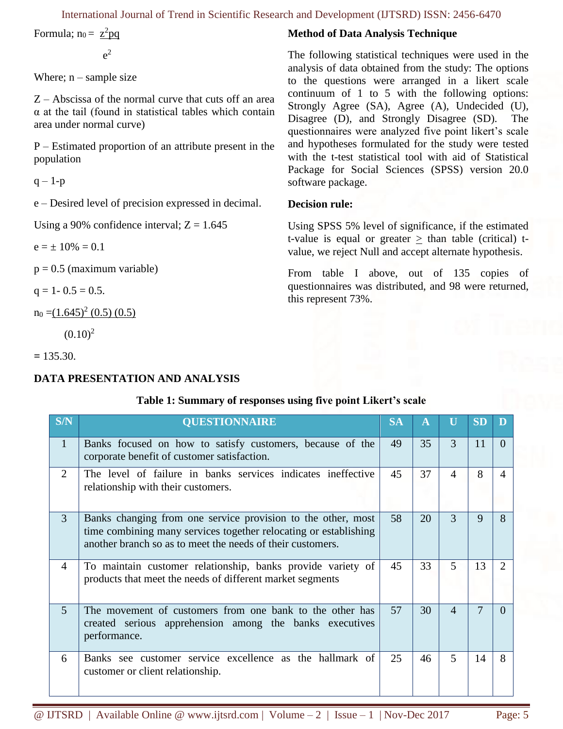International Journal of Trend in Scientific Research and Development (IJTSRD) ISSN: 2456-6470

Formula;  $n_0 = \frac{z^2 pq}{\sqrt{2}}$ 

 $e^2$ 

Where;  $n$  – sample size

Z – Abscissa of the normal curve that cuts off an area  $\alpha$  at the tail (found in statistical tables which contain area under normal curve)

P – Estimated proportion of an attribute present in the population

 $q - 1-p$ 

e – Desired level of precision expressed in decimal.

Using a 90% confidence interval;  $Z = 1.645$ 

 $e = \pm 10\% = 0.1$ 

 $p = 0.5$  (maximum variable)

 $q = 1 - 0.5 = 0.5$ .

 $n_0 = (1.645)^2 (0.5) (0.5)$ 

 $(0.10)^2$ 

**=** 135.30.

# **DATA PRESENTATION AND ANALYSIS**

## **Method of Data Analysis Technique**

The following statistical techniques were used in the analysis of data obtained from the study: The options to the questions were arranged in a likert scale continuum of 1 to 5 with the following options: Strongly Agree (SA), Agree (A), Undecided (U), Disagree (D), and Strongly Disagree (SD). The questionnaires were analyzed five point likert's scale and hypotheses formulated for the study were tested with the t-test statistical tool with aid of Statistical Package for Social Sciences (SPSS) version 20.0 software package.

## **Decision rule:**

Using SPSS 5% level of significance, if the estimated t-value is equal or greater  $>$  than table (critical) tvalue, we reject Null and accept alternate hypothesis.

From table I above, out of 135 copies of questionnaires was distributed, and 98 were returned, this represent 73%.

| <b>S/N</b>     | <b>QUESTIONNAIRE</b>                                                                                                                                                                           | <b>SA</b> | A  |          | SD |                             |  |  |  |
|----------------|------------------------------------------------------------------------------------------------------------------------------------------------------------------------------------------------|-----------|----|----------|----|-----------------------------|--|--|--|
| $\mathbf{1}$   | Banks focused on how to satisfy customers, because of the<br>corporate benefit of customer satisfaction.                                                                                       | 49        | 35 | 3        | 11 | $\Omega$                    |  |  |  |
| $\overline{2}$ | The level of failure in banks services indicates ineffective<br>relationship with their customers.                                                                                             | 45        | 37 | $\Delta$ | 8  | $\Delta$                    |  |  |  |
| 3              | Banks changing from one service provision to the other, most<br>time combining many services together relocating or establishing<br>another branch so as to meet the needs of their customers. | 58        | 20 | 3        | 9  | 8                           |  |  |  |
| $\overline{4}$ | To maintain customer relationship, banks provide variety of<br>products that meet the needs of different market segments                                                                       | 45        | 33 | 5        | 13 | $\mathcal{D}_{\mathcal{L}}$ |  |  |  |
| $\overline{5}$ | The movement of customers from one bank to the other has<br>created serious apprehension among the banks executives<br>performance.                                                            | 57        | 30 | $\Delta$ | 7  | $\Omega$                    |  |  |  |
| 6              | Banks see customer service excellence as the hallmark of<br>customer or client relationship.                                                                                                   | 25        | 46 | 5        | 14 | 8                           |  |  |  |

## **Table 1: Summary of responses using five point Likert's scale**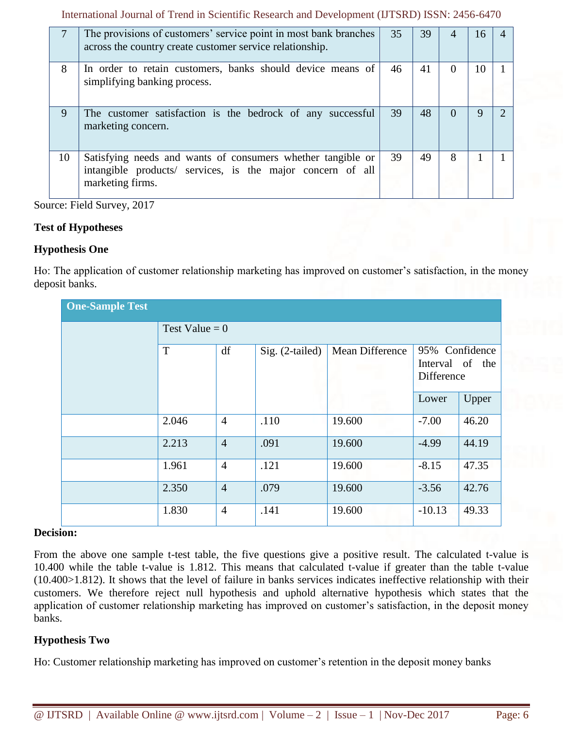International Journal of Trend in Scientific Research and Development (IJTSRD) ISSN: 2456-6470

|    | The provisions of customers' service point in most bank branches<br>across the country create customer service relationship.                  | 35 | 39 |   | 16 |  |
|----|-----------------------------------------------------------------------------------------------------------------------------------------------|----|----|---|----|--|
| 8  | In order to retain customers, banks should device means of<br>simplifying banking process.                                                    | 46 | 41 |   | 10 |  |
| 9  | The customer satisfaction is the bedrock of any successful<br>marketing concern.                                                              | 39 | 48 |   | g  |  |
| 10 | Satisfying needs and wants of consumers whether tangible or<br>intangible products/ services, is the major concern of all<br>marketing firms. | 39 | 49 | 8 |    |  |

Source: Field Survey, 2017

## **Test of Hypotheses**

## **Hypothesis One**

Ho: The application of customer relationship marketing has improved on customer's satisfaction, in the money deposit banks.

| <b>One-Sample Test</b> |                  |                |                   |                 |                                                 |       |  |
|------------------------|------------------|----------------|-------------------|-----------------|-------------------------------------------------|-------|--|
|                        | Test Value = $0$ |                |                   |                 |                                                 |       |  |
|                        | T                | df             | $Sig. (2-tailed)$ | Mean Difference | 95% Confidence<br>Interval of the<br>Difference |       |  |
|                        |                  |                |                   |                 | Lower                                           | Upper |  |
|                        | 2.046            | $\overline{4}$ | .110              | 19.600          | $-7.00$                                         | 46.20 |  |
|                        | 2.213            | $\overline{4}$ | .091              | 19.600          | $-4.99$                                         | 44.19 |  |
|                        | 1.961            | $\overline{4}$ | .121              | 19.600          | $-8.15$                                         | 47.35 |  |
|                        | 2.350            | $\overline{4}$ | .079              | 19.600          | $-3.56$                                         | 42.76 |  |
|                        | 1.830            | $\overline{4}$ | .141              | 19.600          | $-10.13$                                        | 49.33 |  |

## **Decision:**

From the above one sample t-test table, the five questions give a positive result. The calculated t-value is 10.400 while the table t-value is 1.812. This means that calculated t-value if greater than the table t-value (10.400>1.812). It shows that the level of failure in banks services indicates ineffective relationship with their customers. We therefore reject null hypothesis and uphold alternative hypothesis which states that the application of customer relationship marketing has improved on customer's satisfaction, in the deposit money banks.

## **Hypothesis Two**

Ho: Customer relationship marketing has improved on customer's retention in the deposit money banks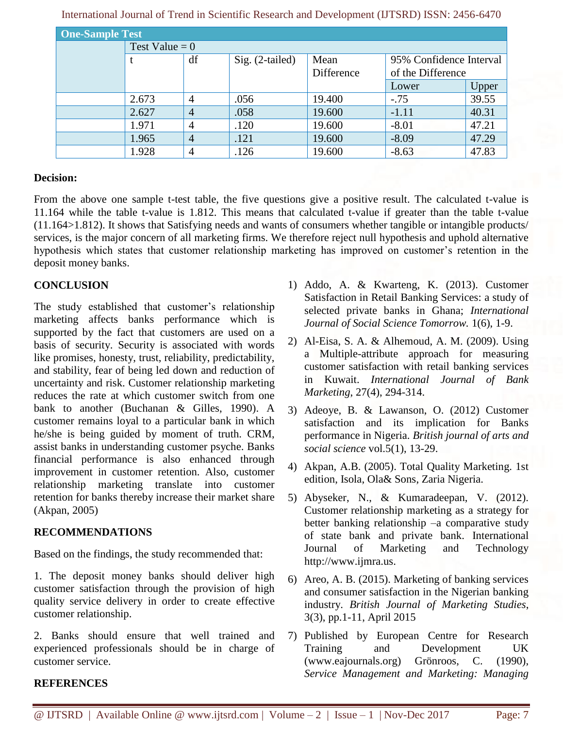| <b>One-Sample Test</b> |                  |                |                   |            |                         |       |  |
|------------------------|------------------|----------------|-------------------|------------|-------------------------|-------|--|
|                        | Test Value = $0$ |                |                   |            |                         |       |  |
|                        |                  | df             | $Sig. (2-tailed)$ | Mean       | 95% Confidence Interval |       |  |
|                        |                  |                |                   | Difference | of the Difference       |       |  |
|                        |                  |                |                   |            | Lower                   | Upper |  |
|                        | 2.673            | $\overline{4}$ | .056              | 19.400     | $-.75$                  | 39.55 |  |
|                        | 2.627            | 4              | .058              | 19.600     | $-1.11$                 | 40.31 |  |
|                        | 1.971            | 4              | .120              | 19.600     | $-8.01$                 | 47.21 |  |
|                        | 1.965            | $\overline{4}$ | .121              | 19.600     | $-8.09$                 | 47.29 |  |
|                        | 1.928            | 4              | .126              | 19.600     | $-8.63$                 | 47.83 |  |

| International Journal of Trend in Scientific Research and Development (IJTSRD) ISSN: 2456-6470 |  |
|------------------------------------------------------------------------------------------------|--|
|------------------------------------------------------------------------------------------------|--|

## **Decision:**

From the above one sample t-test table, the five questions give a positive result. The calculated t-value is 11.164 while the table t-value is 1.812. This means that calculated t-value if greater than the table t-value (11.164>1.812). It shows that Satisfying needs and wants of consumers whether tangible or intangible products/ services, is the major concern of all marketing firms. We therefore reject null hypothesis and uphold alternative hypothesis which states that customer relationship marketing has improved on customer's retention in the deposit money banks.

#### **CONCLUSION**

The study established that customer's relationship marketing affects banks performance which is supported by the fact that customers are used on a basis of security. Security is associated with words like promises, honesty, trust, reliability, predictability, and stability, fear of being led down and reduction of uncertainty and risk. Customer relationship marketing reduces the rate at which customer switch from one bank to another (Buchanan & Gilles, 1990). A customer remains loyal to a particular bank in which he/she is being guided by moment of truth. CRM, assist banks in understanding customer psyche. Banks financial performance is also enhanced through improvement in customer retention. Also, customer relationship marketing translate into customer retention for banks thereby increase their market share (Akpan, 2005)

## **RECOMMENDATIONS**

Based on the findings, the study recommended that:

1. The deposit money banks should deliver high customer satisfaction through the provision of high quality service delivery in order to create effective customer relationship.

2. Banks should ensure that well trained and experienced professionals should be in charge of customer service.

- 1) Addo, A. & Kwarteng, K. (2013). Customer Satisfaction in Retail Banking Services: a study of selected private banks in Ghana; *International Journal of Social Science Tomorrow.* 1(6), 1-9.
- 2) Al-Eisa, S. A. & Alhemoud, A. M. (2009). Using a Multiple-attribute approach for measuring customer satisfaction with retail banking services in Kuwait. *International Journal of Bank Marketing*, 27(4), 294-314.
- 3) Adeoye, B. & Lawanson, O. (2012) Customer satisfaction and its implication for Banks performance in Nigeria. *British journal of arts and social science* vol.5(1), 13-29.
- 4) Akpan, A.B. (2005). Total Quality Marketing. 1st edition, Isola, Ola& Sons, Zaria Nigeria.
- 5) Abyseker, N., & Kumaradeepan, V. (2012). Customer relationship marketing as a strategy for better banking relationship –a comparative study of state bank and private bank. International Journal of Marketing and Technology http://www.ijmra.us.
- 6) Areo, A. B. (2015). Marketing of banking services and consumer satisfaction in the Nigerian banking industry. *British Journal of Marketing Studies*, 3(3), pp.1-11, April 2015
- 7) Published by European Centre for Research Training and Development UK (www.eajournals.org) Grönroos, C. (1990), *Service Management and Marketing: Managing*

#### **REFERENCES**